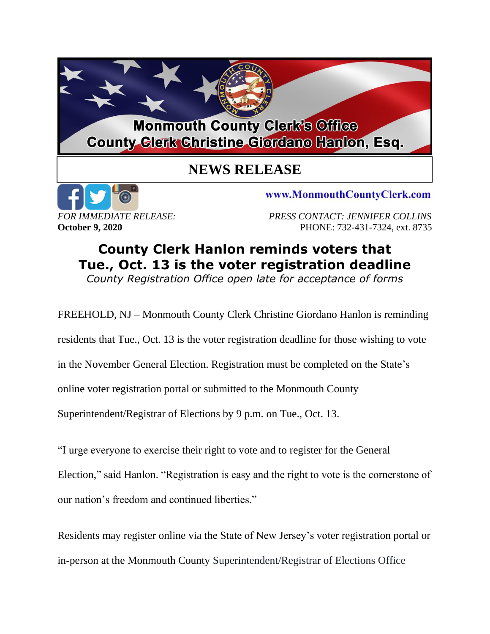

## **NEWS RELEASE**



www.MonmouthCountyClerk.com

*FOR IMMEDIATE RELEASE: PRESS CONTACT: JENNIFER COLLINS* **October 9, 2020 PHONE: 732-431-7324, ext. 8735** 

## **County Clerk Hanlon reminds voters that Tue., Oct. 13 is the voter registration deadline** *County Registration Office open late for acceptance of forms*

FREEHOLD, NJ – Monmouth County Clerk Christine Giordano Hanlon is reminding

residents that Tue., Oct. 13 is the voter registration deadline for those wishing to vote

in the November General Election. Registration must be completed on the State's

online voter registration portal or submitted to the Monmouth County

Superintendent/Registrar of Elections by 9 p.m. on Tue., Oct. 13.

"I urge everyone to exercise their right to vote and to register for the General

Election," said Hanlon. "Registration is easy and the right to vote is the cornerstone of our nation's freedom and continued liberties."

Residents may register online via the State of New Jersey's voter registration portal or in-person at the Monmouth County Superintendent/Registrar of Elections Office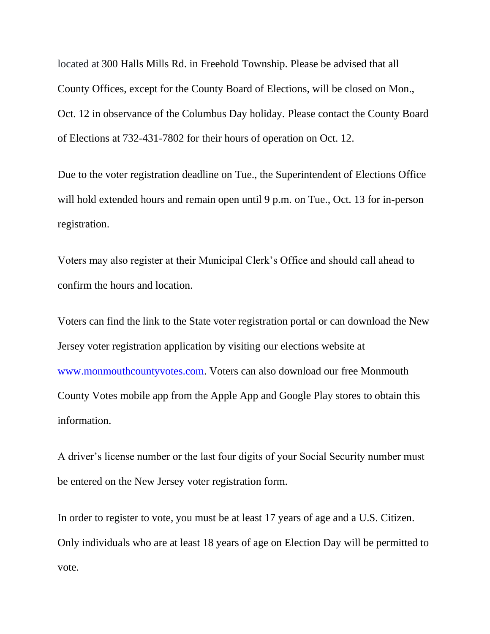located at 300 Halls Mills Rd. in Freehold Township. Please be advised that all County Offices, except for the County Board of Elections, will be closed on Mon., Oct. 12 in observance of the Columbus Day holiday. Please contact the County Board of Elections at 732-431-7802 for their hours of operation on Oct. 12.

Due to the voter registration deadline on Tue., the Superintendent of Elections Office will hold extended hours and remain open until 9 p.m. on Tue., Oct. 13 for in-person registration.

Voters may also register at their Municipal Clerk's Office and should call ahead to confirm the hours and location.

Voters can find the link to the State voter registration portal or can download the New Jersey voter registration application by visiting our elections website at [www.monmouthcountyvotes.com.](http://www.monmouthcountyvotes.com/) Voters can also download our free Monmouth County Votes mobile app from the Apple App and Google Play stores to obtain this information.

A driver's license number or the last four digits of your Social Security number must be entered on the New Jersey voter registration form.

In order to register to vote, you must be at least 17 years of age and a U.S. Citizen. Only individuals who are at least 18 years of age on Election Day will be permitted to vote.